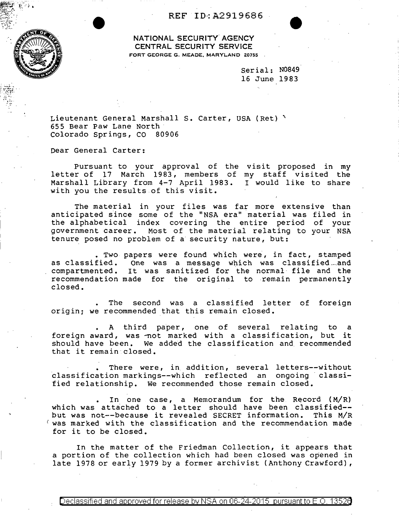## REF ID:A2919686

NATIONAL SECURITY AGENCY CENTRAL SECURITY SERVICE FORT GEORGE G. MEADE, MARYLAND Z0755

> serial: N0849 16 June 1983

Lieutenant General Marshall S. Carter, USA (Ret) \ 655 Bear Paw Lane North Colorado Springs, CO 80906

Dear General Carter:

Pursuant to your approval of the visit proposed in my letter of 17 March 1983, members of my staff visited the Marshall Library from 4-7 April 1983. I would like to share with you the results of this visit.

The material in your files was far more extensive than anticipated since some of the "NSA era" material was filed in the alphabetical index covering the entire period of your government career. Most of the material relating to your NSA tenure posed no problem of a security nature, but:

. Two papers were found which were, in fact, stamped as classified. One was a message which was classified and compartmented. It was sanitized for the normal· file and the recommendation made for the original to remain permanently closed.

The second was a classified letter of foreign origin; we recommended that this remain closed.

A third paper, one of several relating to a foreign award, was -not marked with a classification, but it should have been. We added the classification and recommended that it remain closed.

There were, in addition, several letters--without classification markings--which reflected an ongoing classified relationship. We recommended those remain closed.

In one case, a Memorandum for the Record { M/R) which was attached to a letter should have been classified- but was not--because it revealed SECRET information. This M/R *(* was marked with the classification and the recommendation made for it to be closed.

In the matter of the Friedman Collection, it appears that a portion of the collection which had been closed was opened in late 1978 or early 1979 by a former archivist (Anthony Crawford),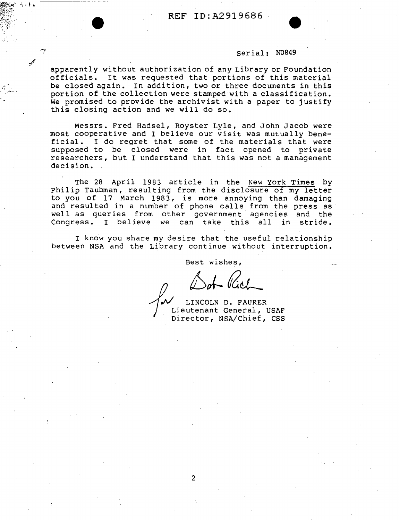## serial: N0849

apparently without authorization of any Library or Foundation officials. It was requested that portions of this material be closed again. In addition, two or three documents in this portion of the collection were stamped with a classification. We promised to provide the archivist with a paper to justify this closing action and we will do so.

*:I'* 

 $\dot{\gamma}$ 

...............

Messrs. Fred Hadsel, Royster Lyle, and John Jacob were most cooperative and I believe our visit was mutually beneficial. I do regret that some of the materials that were supposed to be closed were in fact opened to private researchers, but I understand that this was not a management decision.

The 28 April 1983 article in the New York Times by Philip Taubman, resulting from the disclosure of my letter to you of 17 March 1983, is more annoying than damaging and resulted in a number of phone calls from the press as well as queries from other government agencies and the Congress. I believe we can take this all in stride. Congress. I believe we can take this all

I know you share my desire that the useful relationship between NSA and the Library continue without interruption.

Best wishes,

of *Cich*<br> *M* LINCOLN D. FAURER<br>
Lieutenant General,<br>
Director, NSA/Chief, LINCOLN D. FAURER Lieutenant General, USAF Director, NSA/Chief, CSS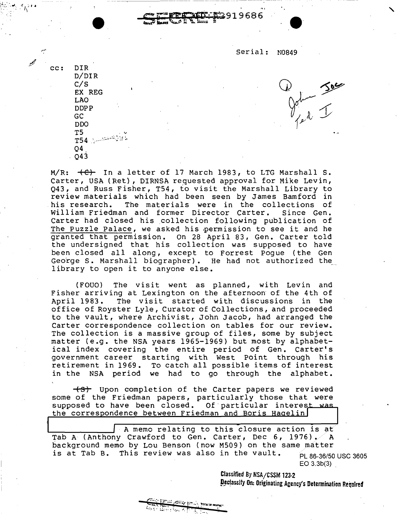Serial: N0849

 $\int_{\ell_{\ell}}^{\ell_{\ell}}\int_{\ell_{\ell}}^{\ell_{\ell}}$ 

919686

**\** 

cc: DIR D/DIR C/S EX REG LAO DOPP GC ODO T5 .  $\vee$ T54 *.:\_.,:;* :-·.-.1 :,. Q4. Q43

 $M/R: ~~+C)~~$  In a letter of 17 March 1983, to LTG Marshall S. Carter, USA (Ret), DIRNSA requested approval for Mike Levin, Q43, and Russ Fisher, T54, to visit the Marshall Library to review materials which had been seen by James Bamford in The materials were in the collections of<br>n and former Director Carter. Since Gen. William Friedman and former Director Carter. Carter had closed his collection following publication of The Puzzle Palace, we asked his permission to see it and he granted that permission. On 28 April 83, Gen. Carter told the undersigned that his collection was supposed to have been closed all along, except to Forrest Pogue (the Gen George S. Marshall biographer). He had not authorized the library to open it to anyone else.

(FOUO) The visit went as planned, with Levin and Fisher arriving at Lexington on the afternoon of the 4th of<br>April 1983. The visit started with discussions in the The visit started with discussions in the office of Royster Lyle, Curator of Collections, and proceeded to the vault, where Archivist, John Jacob, had arranged the Carter correspondence collection on tables for our review. The collection is a massive group of files, some by subject matter (e.g. the NSA years 1965-1969) but most by alphabetical index covering the entire period of Gen. Carter's government career starting with West Point through his retirement in 1969. To catch all possible items of interest in the NSA period we had to go through the alphabet.

-+s+ Upon completion of the Carter papers we reviewed some of the Friedman papers, particularly those that were supposed to have been closed. Of particular interest was the correspondence between Friedman and Boris Haqelin

A memo relating to this closure action is at Tab A (Anthony Crawford to Gen. Carter, Dec 6, 1976).  $\angle$  A background memo by Lou Benson (now M509) on the same matter is at Tab B. This review was also in the vault. PL 86-36/50 USC 3605 EO 3.3b(3)

> Classified By NSA/CSSM 123-2 Declassity On: Originating Agency's Determination Required